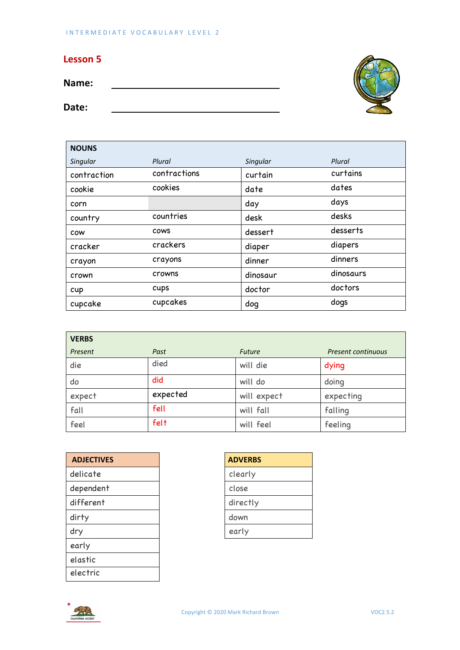## **Lesson 5**

**Name:** 

**Date:**

 $\overline{\phantom{0}}$ 



| <b>NOUNS</b> |              |          |           |
|--------------|--------------|----------|-----------|
| Singular     | Plural       | Singular | Plural    |
| contraction  | contractions | curtain  | curtains  |
| cookie       | cookies      | date     | dates     |
| corn         |              | day      | days      |
| country      | countries    | desk     | desks     |
| COW          | <b>COWS</b>  | dessert  | desserts  |
| cracker      | crackers     | diaper   | diapers   |
| crayon       | crayons      | dinner   | dinners   |
| crown        | crowns       | dinosaur | dinosaurs |
| cup          | cups         | doctor   | doctors   |
| cupcake      | cupcakes     | dog      | dogs      |

| <b>VERBS</b> |          |               |                    |
|--------------|----------|---------------|--------------------|
| Present      | Past     | <b>Future</b> | Present continuous |
| die          | died     | will die      | dying              |
| do           | did      | will do       | doing              |
| expect       | expected | will expect   | expecting          |
| fall         | fell     | will fall     | falling            |
| feel         | felt     | will feel     | feeling            |

| <b>ADVERBS</b> |
|----------------|
| clearly        |
| close          |
| directly       |
| down           |
| early          |
|                |
|                |
|                |
|                |

| <b>ADVERBS</b> |
|----------------|
| clearly        |
| close          |
| directly       |
| down           |
| early          |

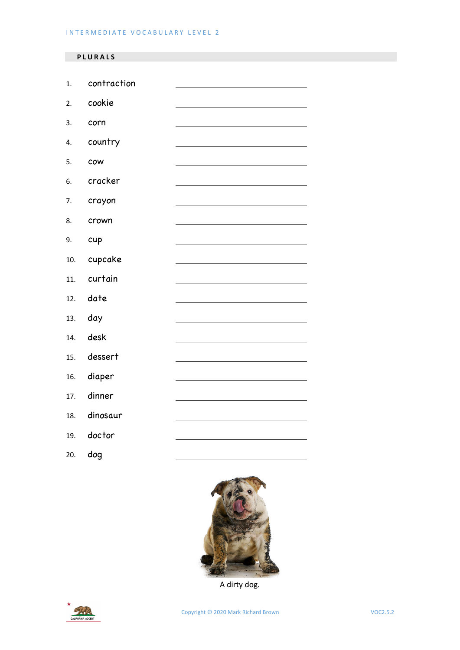## **PLURAL S**

| $\overline{1}$ . | contraction |  |
|------------------|-------------|--|
| 2.               | cookie      |  |
| 3.               | corn        |  |
| 4.               | country     |  |
| 5.               | cow         |  |
| 6.               | cracker     |  |
| 7.               | crayon      |  |
| 8.               | crown       |  |
| 9.               | cup         |  |
| 10.              | cupcake     |  |
| 11.              | curtain     |  |
| 12.              | date        |  |
| 13.              | day         |  |
| 14.              | desk        |  |
| 15.              | dessert     |  |
| 16.              | diaper      |  |
| 17.              | dinner      |  |
| 18.              | dinosaur    |  |
| 19.              | doctor      |  |
|                  |             |  |





A dirty dog.